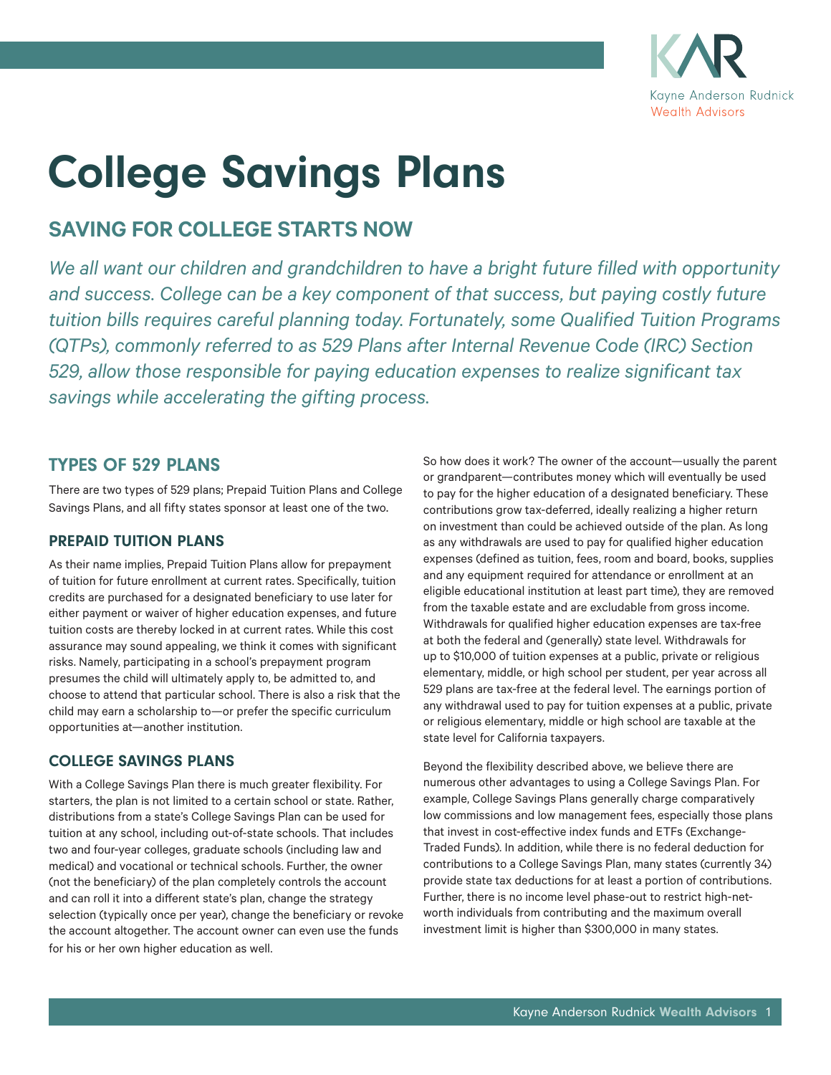

# College Savings Plans

## **SAVING FOR COLLEGE STARTS NOW**

*We all want our children and grandchildren to have a bright future filled with opportunity*  and success. College can be a key component of that success, but paying costly future *tuition bills requires careful planning today. Fortunately, some Qualified Tuition Programs (QTPs), commonly referred to as 529 Plans after Internal Revenue Code (IRC) Section 529, allow those responsible for paying education expenses to realize significant tax savings while accelerating the gifting process.*

#### TYPES OF 529 PLANS

There are two types of 529 plans; Prepaid Tuition Plans and College Savings Plans, and all fifty states sponsor at least one of the two.

#### PREPAID TUITION PLANS

As their name implies, Prepaid Tuition Plans allow for prepayment of tuition for future enrollment at current rates. Specifically, tuition credits are purchased for a designated beneficiary to use later for either payment or waiver of higher education expenses, and future tuition costs are thereby locked in at current rates. While this cost assurance may sound appealing, we think it comes with significant risks. Namely, participating in a school's prepayment program presumes the child will ultimately apply to, be admitted to, and choose to attend that particular school. There is also a risk that the child may earn a scholarship to—or prefer the specific curriculum opportunities at—another institution.

#### COLLEGE SAVINGS PLANS

With a College Savings Plan there is much greater flexibility. For starters, the plan is not limited to a certain school or state. Rather, distributions from a state's College Savings Plan can be used for tuition at any school, including out-of-state schools. That includes two and four-year colleges, graduate schools (including law and medical) and vocational or technical schools. Further, the owner (not the beneficiary) of the plan completely controls the account and can roll it into a different state's plan, change the strategy selection (typically once per year), change the beneficiary or revoke the account altogether. The account owner can even use the funds for his or her own higher education as well.

So how does it work? The owner of the account—usually the parent or grandparent—contributes money which will eventually be used to pay for the higher education of a designated beneficiary. These contributions grow tax-deferred, ideally realizing a higher return on investment than could be achieved outside of the plan. As long as any withdrawals are used to pay for qualified higher education expenses (defined as tuition, fees, room and board, books, supplies and any equipment required for attendance or enrollment at an eligible educational institution at least part time), they are removed from the taxable estate and are excludable from gross income. Withdrawals for qualified higher education expenses are tax-free at both the federal and (generally) state level. Withdrawals for up to \$10,000 of tuition expenses at a public, private or religious elementary, middle, or high school per student, per year across all 529 plans are tax-free at the federal level. The earnings portion of any withdrawal used to pay for tuition expenses at a public, private or religious elementary, middle or high school are taxable at the state level for California taxpayers.

Beyond the flexibility described above, we believe there are numerous other advantages to using a College Savings Plan. For example, College Savings Plans generally charge comparatively low commissions and low management fees, especially those plans that invest in cost-effective index funds and ETFs (Exchange-Traded Funds). In addition, while there is no federal deduction for contributions to a College Savings Plan, many states (currently 34) provide state tax deductions for at least a portion of contributions. Further, there is no income level phase-out to restrict high-networth individuals from contributing and the maximum overall investment limit is higher than \$300,000 in many states.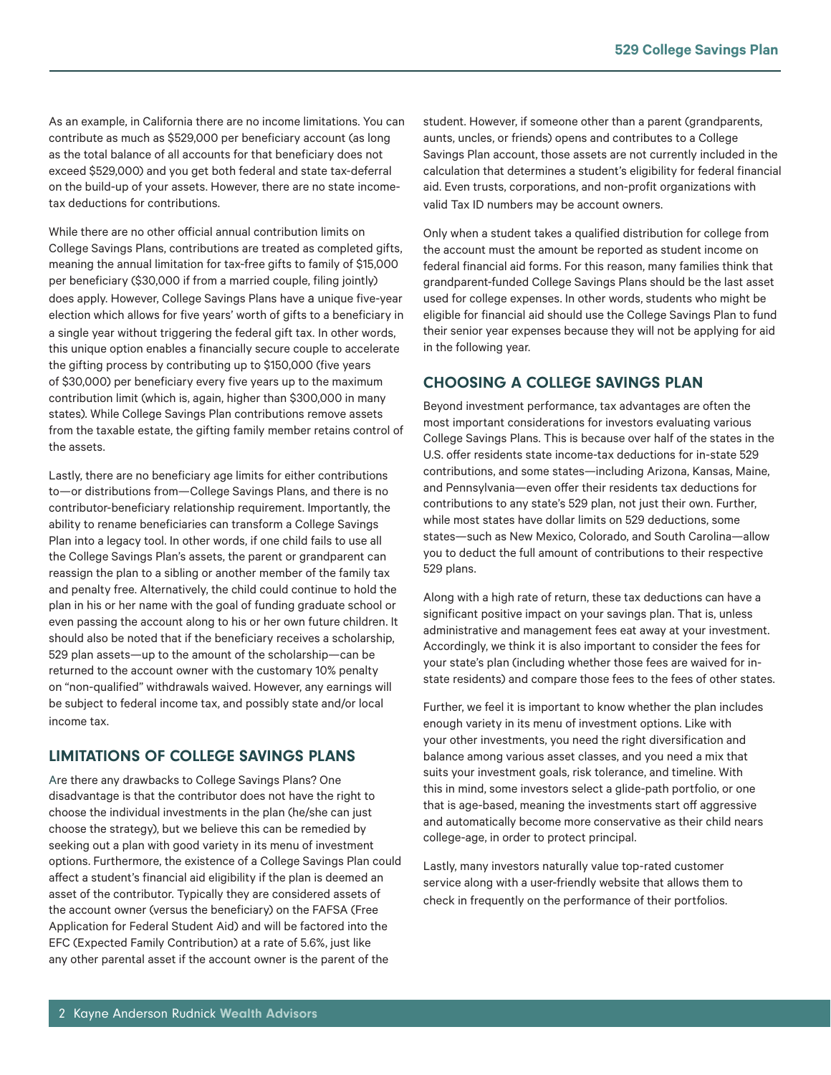As an example, in California there are no income limitations. You can contribute as much as \$529,000 per beneficiary account (as long as the total balance of all accounts for that beneficiary does not exceed \$529,000) and you get both federal and state tax-deferral on the build-up of your assets. However, there are no state incometax deductions for contributions.

While there are no other official annual contribution limits on College Savings Plans, contributions are treated as completed gifts, meaning the annual limitation for tax-free gifts to family of \$15,000 per beneficiary (\$30,000 if from a married couple, filing jointly) does apply. However, College Savings Plans have a unique five-year election which allows for five years' worth of gifts to a beneficiary in a single year without triggering the federal gift tax. In other words, this unique option enables a financially secure couple to accelerate the gifting process by contributing up to \$150,000 (five years of \$30,000) per beneficiary every five years up to the maximum contribution limit (which is, again, higher than \$300,000 in many states). While College Savings Plan contributions remove assets from the taxable estate, the gifting family member retains control of the assets.

Lastly, there are no beneficiary age limits for either contributions to—or distributions from—College Savings Plans, and there is no contributor-beneficiary relationship requirement. Importantly, the ability to rename beneficiaries can transform a College Savings Plan into a legacy tool. In other words, if one child fails to use all the College Savings Plan's assets, the parent or grandparent can reassign the plan to a sibling or another member of the family tax and penalty free. Alternatively, the child could continue to hold the plan in his or her name with the goal of funding graduate school or even passing the account along to his or her own future children. It should also be noted that if the beneficiary receives a scholarship, 529 plan assets—up to the amount of the scholarship—can be returned to the account owner with the customary 10% penalty on "non-qualified" withdrawals waived. However, any earnings will be subject to federal income tax, and possibly state and/or local income tax.

#### LIMITATIONS OF COLLEGE SAVINGS PLANS

Are there any drawbacks to College Savings Plans? One disadvantage is that the contributor does not have the right to choose the individual investments in the plan (he/she can just choose the strategy), but we believe this can be remedied by seeking out a plan with good variety in its menu of investment options. Furthermore, the existence of a College Savings Plan could affect a student's financial aid eligibility if the plan is deemed an asset of the contributor. Typically they are considered assets of the account owner (versus the beneficiary) on the FAFSA (Free Application for Federal Student Aid) and will be factored into the EFC (Expected Family Contribution) at a rate of 5.6%, just like any other parental asset if the account owner is the parent of the

student. However, if someone other than a parent (grandparents, aunts, uncles, or friends) opens and contributes to a College Savings Plan account, those assets are not currently included in the calculation that determines a student's eligibility for federal financial aid. Even trusts, corporations, and non-profit organizations with valid Tax ID numbers may be account owners.

Only when a student takes a qualified distribution for college from the account must the amount be reported as student income on federal financial aid forms. For this reason, many families think that grandparent-funded College Savings Plans should be the last asset used for college expenses. In other words, students who might be eligible for financial aid should use the College Savings Plan to fund their senior year expenses because they will not be applying for aid in the following year.

#### CHOOSING A COLLEGE SAVINGS PLAN

Beyond investment performance, tax advantages are often the most important considerations for investors evaluating various College Savings Plans. This is because over half of the states in the U.S. offer residents state income-tax deductions for in-state 529 contributions, and some states—including Arizona, Kansas, Maine, and Pennsylvania—even offer their residents tax deductions for contributions to any state's 529 plan, not just their own. Further, while most states have dollar limits on 529 deductions, some states—such as New Mexico, Colorado, and South Carolina—allow you to deduct the full amount of contributions to their respective 529 plans.

Along with a high rate of return, these tax deductions can have a significant positive impact on your savings plan. That is, unless administrative and management fees eat away at your investment. Accordingly, we think it is also important to consider the fees for your state's plan (including whether those fees are waived for instate residents) and compare those fees to the fees of other states.

Further, we feel it is important to know whether the plan includes enough variety in its menu of investment options. Like with your other investments, you need the right diversification and balance among various asset classes, and you need a mix that suits your investment goals, risk tolerance, and timeline. With this in mind, some investors select a glide-path portfolio, or one that is age-based, meaning the investments start off aggressive and automatically become more conservative as their child nears college-age, in order to protect principal.

Lastly, many investors naturally value top-rated customer service along with a user-friendly website that allows them to check in frequently on the performance of their portfolios.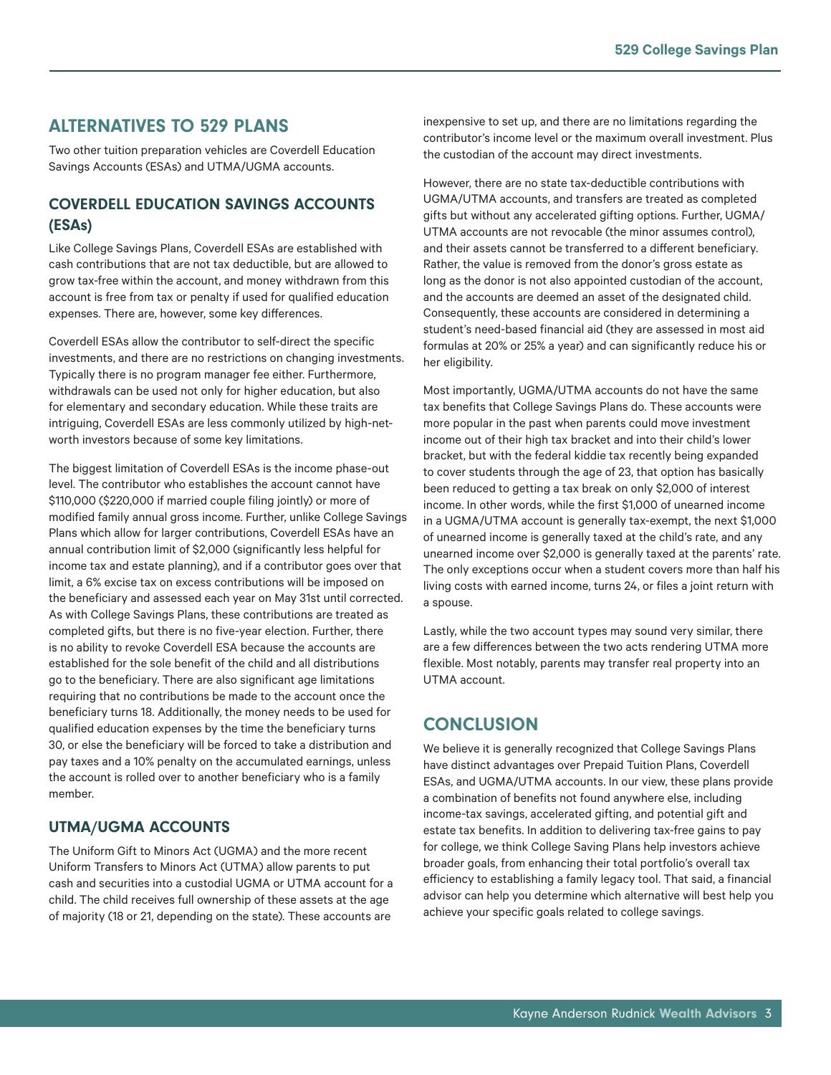## ALTERNATIVES TO 529 PLANS

Two other tuition preparation vehicles are Coverdell Education Savings Accounts (ESAs) and UTMA/UGMA accounts.

#### COVERDELL EDUCATION SAVINGS ACCOUNTS (ESAs)

Like College Savings Plans, Coverdell ESAs are established with cash contributions that are not tax deductible, but are allowed to grow tax-free within the account, and money withdrawn from this account is free from tax or penalty if used for qualified education expenses. There are, however, some key differences.

Coverdell ESAs allow the contributor to self-direct the specific investments, and there are no restrictions on changing investments. Typically there is no program manager fee either. Furthermore, withdrawals can be used not only for higher education, but also for elementary and secondary education. While these traits are intriguing, Coverdell ESAs are less commonly utilized by high-networth investors because of some key limitations.

The biggest limitation of Coverdell ESAs is the income phase-out level. The contributor who establishes the account cannot have \$110,000 (\$220,000 if married couple filing jointly) or more of modified family annual gross income. Further, unlike College Savings Plans which allow for larger contributions, Coverdell ESAs have an annual contribution limit of \$2,000 (significantly less helpful for income tax and estate planning), and if a contributor goes over that limit, a 6% excise tax on excess contributions will be imposed on the beneficiary and assessed each year on May 31st until corrected. As with College Savings Plans, these contributions are treated as completed gifts, but there is no five-year election. Further, there is no ability to revoke Coverdell ESA because the accounts are established for the sole benefit of the child and all distributions go to the beneficiary. There are also significant age limitations requiring that no contributions be made to the account once the beneficiary turns 18. Additionally, the money needs to be used for qualified education expenses by the time the beneficiary turns 30, or else the beneficiary will be forced to take a distribution and pay taxes and a 10% penalty on the accumulated earnings, unless the account is rolled over to another beneficiary who is a family member.

#### UTMA/UGMA ACCOUNTS

The Uniform Gift to Minors Act (UGMA) and the more recent Uniform Transfers to Minors Act (UTMA) allow parents to put cash and securities into a custodial UGMA or UTMA account for a child. The child receives full ownership of these assets at the age of majority (18 or 21, depending on the state). These accounts are

inexpensive to set up, and there are no limitations regarding the contributor's income level or the maximum overall investment. Plus the custodian of the account may direct investments.

However, there are no state tax-deductible contributions with UGMA/UTMA accounts, and transfers are treated as completed gifts but without any accelerated gifting options. Further, UGMA/ UTMA accounts are not revocable (the minor assumes control), and their assets cannot be transferred to a different beneficiary. Rather, the value is removed from the donor's gross estate as long as the donor is not also appointed custodian of the account, and the accounts are deemed an asset of the designated child. Consequently, these accounts are considered in determining a student's need-based financial aid (they are assessed in most aid formulas at 20% or 25% a year) and can significantly reduce his or her eligibility.

Most importantly, UGMA/UTMA accounts do not have the same tax benefits that College Savings Plans do. These accounts were more popular in the past when parents could move investment income out of their high tax bracket and into their child's lower bracket, but with the federal kiddie tax recently being expanded to cover students through the age of 23, that option has basically been reduced to getting a tax break on only \$2,000 of interest income. In other words, while the first \$1,000 of unearned income in a UGMA/UTMA account is generally tax-exempt, the next \$1,000 of unearned income is generally taxed at the child's rate, and any unearned income over \$2,000 is generally taxed at the parents' rate. The only exceptions occur when a student covers more than half his living costs with earned income, turns 24, or files a joint return with a spouse.

Lastly, while the two account types may sound very similar, there are a few differences between the two acts rendering UTMA more flexible. Most notably, parents may transfer real property into an UTMA account.

## **CONCLUSION**

We believe it is generally recognized that College Savings Plans have distinct advantages over Prepaid Tuition Plans, Coverdell ESAs, and UGMA/UTMA accounts. In our view, these plans provide a combination of benefits not found anywhere else, including income-tax savings, accelerated gifting, and potential gift and estate tax benefits. In addition to delivering tax-free gains to pay for college, we think College Saving Plans help investors achieve broader goals, from enhancing their total portfolio's overall tax efficiency to establishing a family legacy tool. That said, a financial advisor can help you determine which alternative will best help you achieve your specific goals related to college savings.